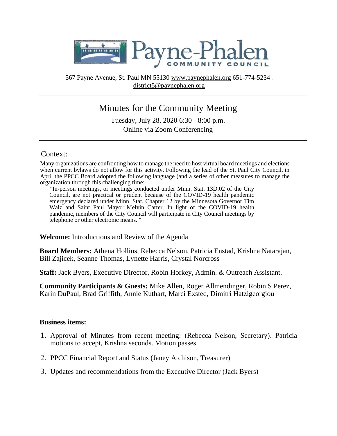

567 Payne Avenue, St. Paul MN 55130 www.paynephalen.org 651-774-5234 district5@pavnephalen.org

# Minutes for the Community Meeting

Tuesday, July 28, 2020 6:30 - 8:00 p.m. Online via Zoom Conferencing

#### Context:

Many organizations are confronting how to manage the need to host virtual board meetings and elections when current bylaws do not allow for this activity. Following the lead of the St. Paul City Council, in April the PPCC Board adopted the following language (and a series of other measures to manage the organization through this challenging time:

"In-person meetings, or meetings conducted under Minn. Stat. 13D.02 of the City Council, are not practical or prudent because of the COVID-19 health pandemic emergency declared under Minn. Stat. Chapter 12 by the Minnesota Governor Tim Walz and Saint Paul Mayor Melvin Carter. In light of the COVID-19 health pandemic, members of the City Council will participate in City Council meetings by telephone or other electronic means. "

**Welcome:** Introductions and Review of the Agenda

**Board Members:** Athena Hollins, Rebecca Nelson, Patricia Enstad, Krishna Natarajan, Bill Zajicek, Seanne Thomas, Lynette Harris, Crystal Norcross

**Staff:** Jack Byers, Executive Director, Robin Horkey, Admin. & Outreach Assistant.

**Community Participants & Guests:** Mike Allen, Roger Allmendinger, Robin S Perez, Karin DuPaul, Brad Griffith, Annie Kuthart, Marci Exsted, Dimitri Hatzigeorgiou

#### **Business items:**

- 1. Approval of Minutes from recent meeting: (Rebecca Nelson, Secretary). Patricia motions to accept, Krishna seconds. Motion passes
- 2. PPCC Financial Report and Status (Janey Atchison, Treasurer)
- 3. Updates and recommendations from the Executive Director (Jack Byers)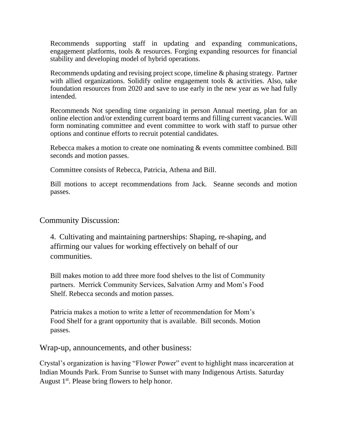Recommends supporting staff in updating and expanding communications, engagement platforms, tools & resources. Forging expanding resources for financial stability and developing model of hybrid operations.

Recommends updating and revising project scope, timeline & phasing strategy. Partner with allied organizations. Solidify online engagement tools & activities. Also, take foundation resources from 2020 and save to use early in the new year as we had fully intended.

Recommends Not spending time organizing in person Annual meeting, plan for an online election and/or extending current board terms and filling current vacancies. Will form nominating committee and event committee to work with staff to pursue other options and continue efforts to recruit potential candidates.

Rebecca makes a motion to create one nominating & events committee combined. Bill seconds and motion passes.

Committee consists of Rebecca, Patricia, Athena and Bill.

Bill motions to accept recommendations from Jack. Seanne seconds and motion passes.

### Community Discussion:

4. Cultivating and maintaining partnerships: Shaping, re-shaping, and affirming our values for working effectively on behalf of our communities.

Bill makes motion to add three more food shelves to the list of Community partners. Merrick Community Services, Salvation Army and Mom's Food Shelf. Rebecca seconds and motion passes.

Patricia makes a motion to write a letter of recommendation for Mom's Food Shelf for a grant opportunity that is available. Bill seconds. Motion passes.

Wrap-up, announcements, and other business:

Crystal's organization is having "Flower Power" event to highlight mass incarceration at Indian Mounds Park. From Sunrise to Sunset with many Indigenous Artists. Saturday August 1<sup>st</sup>. Please bring flowers to help honor.